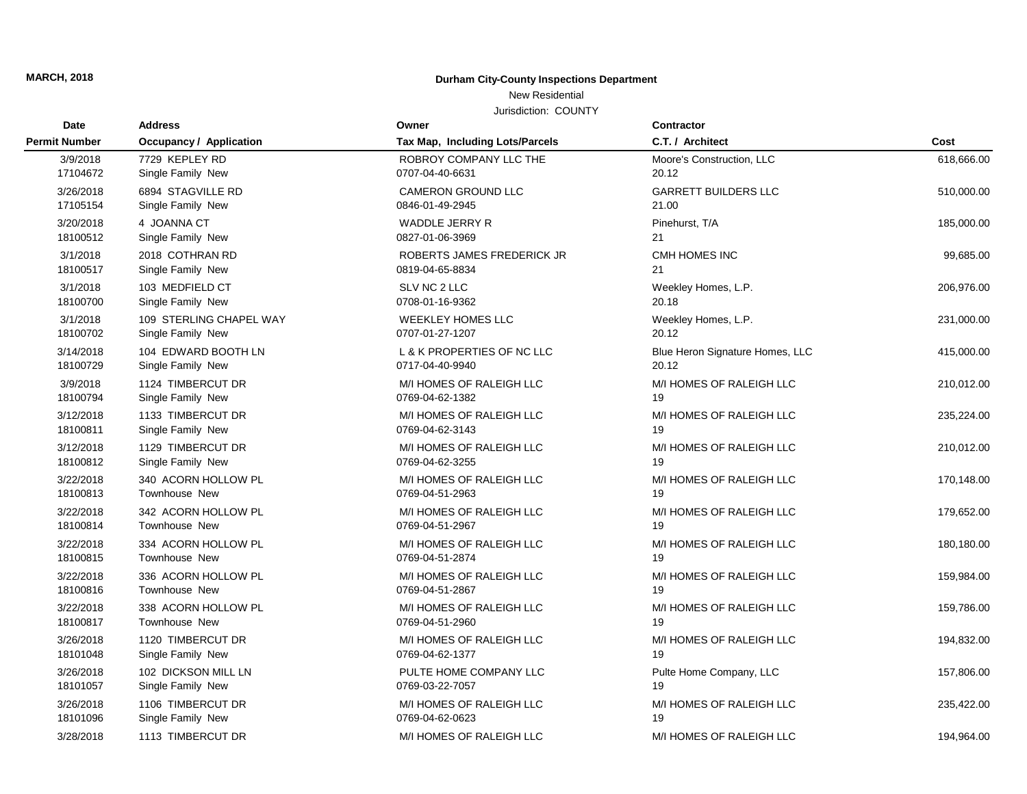## **MARCH, 2018 Durham City-County Inspections Department**

## New Residential

Jurisdiction: COUNTY

| Date<br><b>Permit Number</b> | <b>Address</b><br><b>Occupancy / Application</b> | Owner<br>Tax Map, Including Lots/Parcels | Contractor                      | Cost       |
|------------------------------|--------------------------------------------------|------------------------------------------|---------------------------------|------------|
|                              |                                                  |                                          | C.T. / Architect                |            |
| 3/9/2018                     | 7729 KEPLEY RD                                   | ROBROY COMPANY LLC THE                   | Moore's Construction, LLC       | 618.666.00 |
| 17104672                     | Single Family New                                | 0707-04-40-6631                          | 20.12                           |            |
| 3/26/2018                    | 6894 STAGVILLE RD                                | <b>CAMERON GROUND LLC</b>                | <b>GARRETT BUILDERS LLC</b>     | 510,000.00 |
| 17105154                     | Single Family New                                | 0846-01-49-2945                          | 21.00                           |            |
| 3/20/2018                    | 4 JOANNA CT                                      | WADDLE JERRY R                           | Pinehurst, T/A                  | 185,000.00 |
| 18100512                     | Single Family New                                | 0827-01-06-3969                          | 21                              |            |
| 3/1/2018                     | 2018 COTHRAN RD                                  | ROBERTS JAMES FREDERICK JR               | CMH HOMES INC                   | 99,685.00  |
| 18100517                     | Single Family New                                | 0819-04-65-8834                          | 21                              |            |
| 3/1/2018                     | 103 MEDFIELD CT                                  | SLV NC 2 LLC                             | Weekley Homes, L.P.             | 206,976.00 |
| 18100700                     | Single Family New                                | 0708-01-16-9362                          | 20.18                           |            |
| 3/1/2018                     | 109 STERLING CHAPEL WAY                          | <b>WEEKLEY HOMES LLC</b>                 | Weekley Homes, L.P.             | 231,000.00 |
| 18100702                     | Single Family New                                | 0707-01-27-1207                          | 20.12                           |            |
| 3/14/2018                    | 104 EDWARD BOOTH LN                              | L & K PROPERTIES OF NC LLC               | Blue Heron Signature Homes, LLC | 415,000.00 |
| 18100729                     | Single Family New                                | 0717-04-40-9940                          | 20.12                           |            |
| 3/9/2018                     | 1124 TIMBERCUT DR                                | M/I HOMES OF RALEIGH LLC                 | M/I HOMES OF RALEIGH LLC        | 210,012.00 |
| 18100794                     | Single Family New                                | 0769-04-62-1382                          | 19                              |            |
| 3/12/2018                    | 1133 TIMBERCUT DR                                | M/I HOMES OF RALEIGH LLC                 | M/I HOMES OF RALEIGH LLC        | 235,224.00 |
| 18100811                     | Single Family New                                | 0769-04-62-3143                          | 19                              |            |
| 3/12/2018                    | 1129 TIMBERCUT DR                                | M/I HOMES OF RALEIGH LLC                 | M/I HOMES OF RALEIGH LLC        | 210,012.00 |
| 18100812                     | Single Family New                                | 0769-04-62-3255                          | 19                              |            |
| 3/22/2018                    | 340 ACORN HOLLOW PL                              | M/I HOMES OF RALEIGH LLC                 | M/I HOMES OF RALEIGH LLC        | 170,148.00 |
| 18100813                     | <b>Townhouse New</b>                             | 0769-04-51-2963                          | 19                              |            |
| 3/22/2018                    | 342 ACORN HOLLOW PL                              | M/I HOMES OF RALEIGH LLC                 | M/I HOMES OF RALEIGH LLC        | 179,652.00 |
| 18100814                     | <b>Townhouse New</b>                             | 0769-04-51-2967                          | 19                              |            |
| 3/22/2018                    | 334 ACORN HOLLOW PL                              | M/I HOMES OF RALEIGH LLC                 | M/I HOMES OF RALEIGH LLC        | 180,180.00 |
| 18100815                     | Townhouse New                                    | 0769-04-51-2874                          | 19                              |            |
| 3/22/2018                    | 336 ACORN HOLLOW PL                              | M/I HOMES OF RALEIGH LLC                 | M/I HOMES OF RALEIGH LLC        | 159,984.00 |
| 18100816                     | <b>Townhouse New</b>                             | 0769-04-51-2867                          | 19                              |            |
| 3/22/2018                    | 338 ACORN HOLLOW PL                              | M/I HOMES OF RALEIGH LLC                 | M/I HOMES OF RALEIGH LLC        | 159,786.00 |
| 18100817                     | <b>Townhouse New</b>                             | 0769-04-51-2960                          | 19                              |            |
| 3/26/2018                    | 1120 TIMBERCUT DR                                | M/I HOMES OF RALEIGH LLC                 | M/I HOMES OF RALEIGH LLC        | 194,832.00 |
| 18101048                     | Single Family New                                | 0769-04-62-1377                          | 19                              |            |
| 3/26/2018                    | 102 DICKSON MILL LN                              | PULTE HOME COMPANY LLC                   | Pulte Home Company, LLC         | 157,806.00 |
| 18101057                     | Single Family New                                | 0769-03-22-7057                          | 19                              |            |
| 3/26/2018                    | 1106 TIMBERCUT DR                                | M/I HOMES OF RALEIGH LLC                 | M/I HOMES OF RALEIGH LLC        | 235,422.00 |
| 18101096                     | Single Family New                                | 0769-04-62-0623                          | 19                              |            |
| 3/28/2018                    | 1113 TIMBERCUT DR                                | M/I HOMES OF RALEIGH LLC                 | M/I HOMES OF RALEIGH LLC        | 194,964.00 |